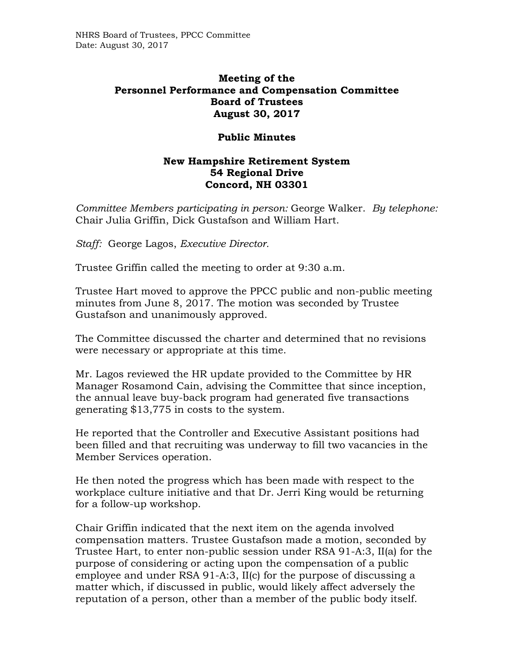## **Meeting of the Personnel Performance and Compensation Committee Board of Trustees August 30, 2017**

## **Public Minutes**

## **New Hampshire Retirement System 54 Regional Drive Concord, NH 03301**

*Committee Members participating in person:* George Walker. *By telephone:* Chair Julia Griffin, Dick Gustafson and William Hart.

*Staff:* George Lagos, *Executive Director.* 

Trustee Griffin called the meeting to order at 9:30 a.m.

Trustee Hart moved to approve the PPCC public and non-public meeting minutes from June 8, 2017. The motion was seconded by Trustee Gustafson and unanimously approved.

The Committee discussed the charter and determined that no revisions were necessary or appropriate at this time.

Mr. Lagos reviewed the HR update provided to the Committee by HR Manager Rosamond Cain, advising the Committee that since inception, the annual leave buy-back program had generated five transactions generating \$13,775 in costs to the system.

He reported that the Controller and Executive Assistant positions had been filled and that recruiting was underway to fill two vacancies in the Member Services operation.

He then noted the progress which has been made with respect to the workplace culture initiative and that Dr. Jerri King would be returning for a follow-up workshop.

Chair Griffin indicated that the next item on the agenda involved compensation matters. Trustee Gustafson made a motion, seconded by Trustee Hart, to enter non-public session under RSA 91-A:3, II(a) for the purpose of considering or acting upon the compensation of a public employee and under RSA 91-A:3, II(c) for the purpose of discussing a matter which, if discussed in public, would likely affect adversely the reputation of a person, other than a member of the public body itself.